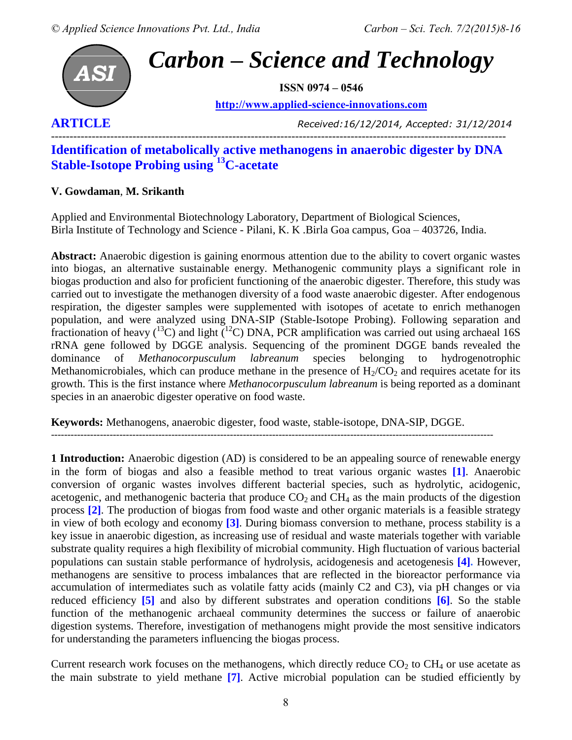

**[http://www.applied-science-innovations.com](http://www.applied-science-innovations.com/)**

**ARTICLE** *Received:16/12/2014, Accepted: 31/12/2014*

# --------------------------------------------------------------------------------------------------------------------------- **Identification of metabolically active methanogens in anaerobic digester by DNA Stable-Isotope Probing using <sup>13</sup>C-acetate**

## **V. Gowdaman**, **M. Srikanth**

Applied and Environmental Biotechnology Laboratory, Department of Biological Sciences, Birla Institute of Technology and Science - Pilani, K. K .Birla Goa campus, Goa – 403726, India.

**Abstract:** Anaerobic digestion is gaining enormous attention due to the ability to covert organic wastes into biogas, an alternative sustainable energy. Methanogenic community plays a significant role in biogas production and also for proficient functioning of the anaerobic digester. Therefore, this study was carried out to investigate the methanogen diversity of a food waste anaerobic digester. After endogenous respiration, the digester samples were supplemented with isotopes of acetate to enrich methanogen population, and were analyzed using DNA-SIP (Stable-Isotope Probing). Following separation and fractionation of heavy  $(^{13}C)$  and light  $\bar{(^{12}C)}$  DNA, PCR amplification was carried out using archaeal 16S rRNA gene followed by DGGE analysis. Sequencing of the prominent DGGE bands revealed the dominance of *Methanocorpusculum labreanum* species belonging to hydrogenotrophic Methanomicrobiales, which can produce methane in the presence of  $H_2/CO_2$  and requires acetate for its growth. This is the first instance where *Methanocorpusculum labreanum* is being reported as a dominant species in an anaerobic digester operative on food waste.

**Keywords:** Methanogens, anaerobic digester, food waste, stable-isotope, DNA-SIP, DGGE.

----------------------------------------------------------------------------------------------------------------------------------------

**1 Introduction:** Anaerobic digestion (AD) is considered to be an appealing source of renewable energy in the form of biogas and also a feasible method to treat various organic wastes **[1]**. Anaerobic conversion of organic wastes involves different bacterial species, such as hydrolytic, acidogenic, acetogenic, and methanogenic bacteria that produce  $CO<sub>2</sub>$  and  $CH<sub>4</sub>$  as the main products of the digestion process **[2]**. The production of biogas from food waste and other organic materials is a feasible strategy in view of both ecology and economy **[3]**. During biomass conversion to methane, process stability is a key issue in anaerobic digestion, as increasing use of residual and waste materials together with variable substrate quality requires a high flexibility of microbial community. High fluctuation of various bacterial populations can sustain stable performance of hydrolysis, acidogenesis and acetogenesis **[4].** However, methanogens are sensitive to process imbalances that are reflected in the bioreactor performance via accumulation of intermediates such as volatile fatty acids (mainly C2 and C3), via pH changes or via reduced efficiency **[5]** and also by different substrates and operation conditions **[6]**. So the stable function of the methanogenic archaeal community determines the success or failure of anaerobic digestion systems. Therefore, investigation of methanogens might provide the most sensitive indicators for understanding the parameters influencing the biogas process.

Current research work focuses on the methanogens, which directly reduce  $CO<sub>2</sub>$  to  $CH<sub>4</sub>$  or use acetate as the main substrate to yield methane **[7]**. Active microbial population can be studied efficiently by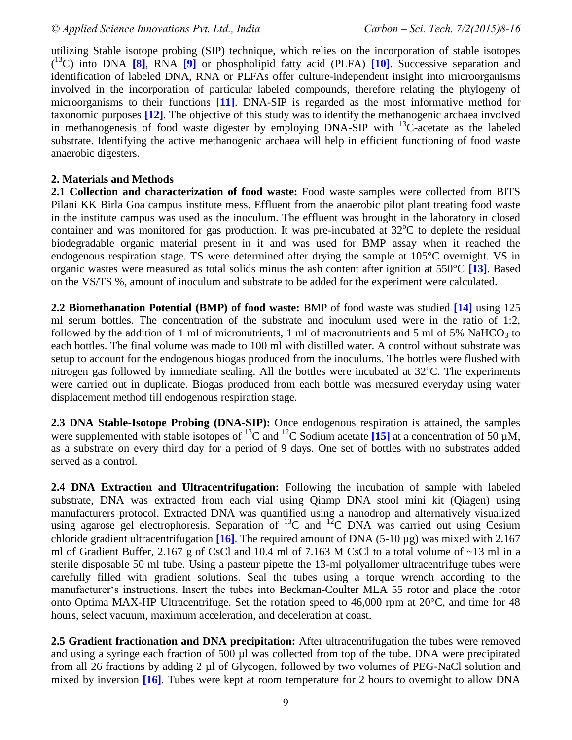utilizing Stable isotope probing (SIP) technique, which relies on the incorporation of stable isotopes ( <sup>13</sup>C) into DNA **[8]**, RNA **[9]** or phospholipid fatty acid (PLFA) **[10]**. Successive separation and identification of labeled DNA, RNA or PLFAs offer culture-independent insight into microorganisms involved in the incorporation of particular labeled compounds, therefore relating the phylogeny of microorganisms to their functions **[11]**. DNA-SIP is regarded as the most informative method for taxonomic purposes **[12]**. The objective of this study was to identify the methanogenic archaea involved in methanogenesis of food waste digester by employing  $DNA-SIP$  with  $^{13}C$ -acetate as the labeled substrate. Identifying the active methanogenic archaea will help in efficient functioning of food waste anaerobic digesters.

#### **2. Materials and Methods**

**2.1 Collection and characterization of food waste:** Food waste samples were collected from BITS Pilani KK Birla Goa campus institute mess. Effluent from the anaerobic pilot plant treating food waste in the institute campus was used as the inoculum. The effluent was brought in the laboratory in closed container and was monitored for gas production. It was pre-incubated at  $32^{\circ}$ C to deplete the residual biodegradable organic material present in it and was used for BMP assay when it reached the endogenous respiration stage. TS were determined after drying the sample at 105°C overnight. VS in organic wastes were measured as total solids minus the ash content after ignition at 550°C **[13]**. Based on the VS/TS %, amount of inoculum and substrate to be added for the experiment were calculated.

**2.2 Biomethanation Potential (BMP) of food waste:** BMP of food waste was studied **[14]** using 125 ml serum bottles. The concentration of the substrate and inoculum used were in the ratio of 1:2, followed by the addition of 1 ml of micronutrients, 1 ml of macronutrients and 5 ml of 5% NaHCO<sub>3</sub> to each bottles. The final volume was made to 100 ml with distilled water. A control without substrate was setup to account for the endogenous biogas produced from the inoculums. The bottles were flushed with nitrogen gas followed by immediate sealing. All the bottles were incubated at  $32^{\circ}$ C. The experiments were carried out in duplicate. Biogas produced from each bottle was measured everyday using water displacement method till endogenous respiration stage.

**2.3 DNA Stable-Isotope Probing (DNA-SIP):** Once endogenous respiration is attained, the samples were supplemented with stable isotopes of <sup>13</sup>C and <sup>12</sup>C Sodium acetate **[15]** at a concentration of 50  $\mu$ M, as a substrate on every third day for a period of 9 days. One set of bottles with no substrates added served as a control.

**2.4 DNA Extraction and Ultracentrifugation:** Following the incubation of sample with labeled substrate, DNA was extracted from each vial using Qiamp DNA stool mini kit (Qiagen) using manufacturers protocol. Extracted DNA was quantified using a nanodrop and alternatively visualized using agarose gel electrophoresis. Separation of  ${}^{13}C$  and  ${}^{12}C$  DNA was carried out using Cesium chloride gradient ultracentrifugation **[16].** The required amount of DNA (5-10 µg) was mixed with 2.167 ml of Gradient Buffer, 2.167 g of CsCl and 10.4 ml of 7.163 M CsCl to a total volume of  $\sim$ 13 ml in a sterile disposable 50 ml tube. Using a pasteur pipette the 13-ml polyallomer ultracentrifuge tubes were carefully filled with gradient solutions. Seal the tubes using a torque wrench according to the manufacturer's instructions. Insert the tubes into Beckman-Coulter MLA 55 rotor and place the rotor onto Optima MAX-HP Ultracentrifuge. Set the rotation speed to 46,000 rpm at 20°C, and time for 48 hours, select vacuum, maximum acceleration, and deceleration at coast.

**2.5 Gradient fractionation and DNA precipitation:** After ultracentrifugation the tubes were removed and using a syringe each fraction of 500 µl was collected from top of the tube. DNA were precipitated from all 26 fractions by adding 2 µl of Glycogen, followed by two volumes of PEG-NaCl solution and mixed by inversion **[16]**. Tubes were kept at room temperature for 2 hours to overnight to allow DNA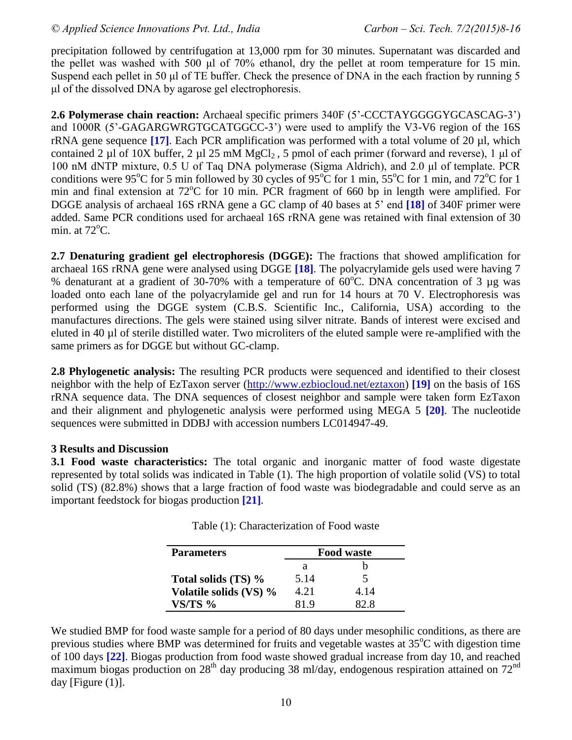precipitation followed by centrifugation at 13,000 rpm for 30 minutes. Supernatant was discarded and the pellet was washed with 500 μl of 70% ethanol, dry the pellet at room temperature for 15 min. Suspend each pellet in 50 μl of TE buffer. Check the presence of DNA in the each fraction by running 5 μl of the dissolved DNA by agarose gel electrophoresis.

**2.6 Polymerase chain reaction:** Archaeal specific primers 340F (5'-CCCTAYGGGGYGCASCAG-3') and 1000R (5'-GAGARGWRGTGCATGGCC-3') were used to amplify the V3-V6 region of the 16S rRNA gene sequence **[17]**. Each PCR amplification was performed with a total volume of 20 µl, which contained 2 µl of 10X buffer, 2 µl 25 mM  $MgCl<sub>2</sub>$ , 5 pmol of each primer (forward and reverse), 1 µl of 100 nM dNTP mixture, 0.5 U of Taq DNA polymerase (Sigma Aldrich), and 2.0 μl of template. PCR conditions were 95<sup>o</sup>C for 5 min followed by 30 cycles of 95<sup>o</sup>C for 1 min, 55<sup>o</sup>C for 1 min, and 72<sup>o</sup>C for 1 min and final extension at  $72^{\circ}$ C for 10 min. PCR fragment of 660 bp in length were amplified. For DGGE analysis of archaeal 16S rRNA gene a GC clamp of 40 bases at 5' end **[18]** of 340F primer were added. Same PCR conditions used for archaeal 16S rRNA gene was retained with final extension of 30 min. at  $72^{\circ}$ C.

**2.7 Denaturing gradient gel electrophoresis (DGGE):** The fractions that showed amplification for archaeal 16S rRNA gene were analysed using DGGE **[18]**. The polyacrylamide gels used were having 7 % denaturant at a gradient of 30-70% with a temperature of  $60^{\circ}$ C. DNA concentration of 3 µg was loaded onto each lane of the polyacrylamide gel and run for 14 hours at 70 V. Electrophoresis was performed using the DGGE system (C.B.S. Scientific Inc., California, USA) according to the manufactures directions. The gels were stained using silver nitrate. Bands of interest were excised and eluted in 40 µl of sterile distilled water. Two microliters of the eluted sample were re-amplified with the same primers as for DGGE but without GC-clamp.

**2.8 Phylogenetic analysis:** The resulting PCR products were sequenced and identified to their closest neighbor with the help of EzTaxon server [\(http://www.ezbiocloud.net/eztaxon\)](http://www.ezbiocloud.net/eztaxon) **[19]** on the basis of 16S rRNA sequence data. The DNA sequences of closest neighbor and sample were taken form EzTaxon and their alignment and phylogenetic analysis were performed using MEGA 5 **[20]**. The nucleotide sequences were submitted in DDBJ with accession numbers LC014947-49.

# **3 Results and Discussion**

**3.1 Food waste characteristics:** The total organic and inorganic matter of food waste digestate represented by total solids was indicated in Table (1). The high proportion of volatile solid (VS) to total solid (TS) (82.8%) shows that a large fraction of food waste was biodegradable and could serve as an important feedstock for biogas production **[21]**.

| <b>Parameters</b>      | <b>Food waste</b> |      |  |
|------------------------|-------------------|------|--|
|                        | а                 |      |  |
| Total solids (TS) %    | 5.14              | 5    |  |
| Volatile solids (VS) % | 4.21              | 4.14 |  |
| $VS/TS$ %              |                   | 22 R |  |

Table (1): Characterization of Food waste

We studied BMP for food waste sample for a period of 80 days under mesophilic conditions, as there are previous studies where BMP was determined for fruits and vegetable wastes at  $35^{\circ}$ C with digestion time of 100 days **[22]**. Biogas production from food waste showed gradual increase from day 10, and reached maximum biogas production on  $28<sup>th</sup>$  day producing 38 ml/day, endogenous respiration attained on  $72<sup>nd</sup>$ day [Figure (1)].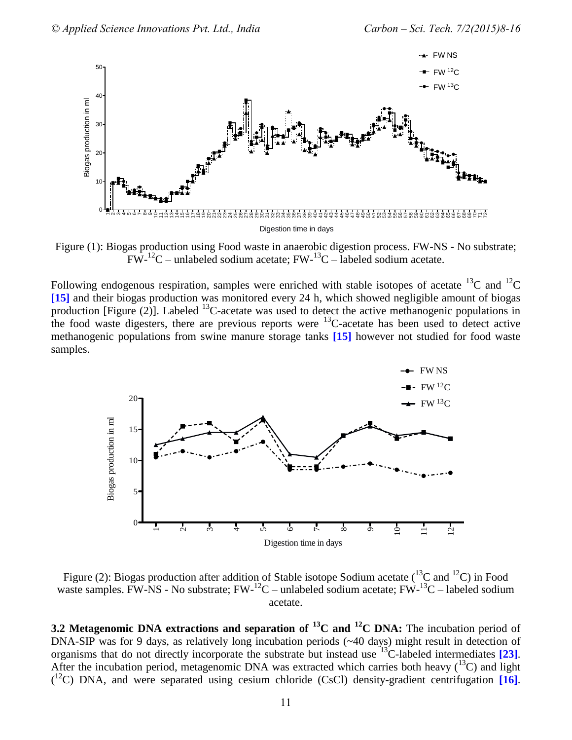

Figure (1): Biogas production using Food waste in anaerobic digestion process. FW-NS - No substrate;  $FW-{}^{12}C$  – unlabeled sodium acetate;  $FW-{}^{13}C$  – labeled sodium acetate.

Following endogenous respiration, samples were enriched with stable isotopes of acetate  $^{13}$ C and  $^{12}$ C **[15]** and their biogas production was monitored every 24 h, which showed negligible amount of biogas production [Figure  $(2)$ ]. Labeled  $^{13}$ C-acetate was used to detect the active methanogenic populations in the food waste digesters, there are previous reports were  $^{13}$ C-acetate has been used to detect active methanogenic populations from swine manure storage tanks **[15]** however not studied for food waste samples.



Figure (2): Biogas production after addition of Stable isotope Sodium acetate ( $^{13}$ C and  $^{12}$ C) in Food waste samples. FW-NS - No substrate;  $FW^{-12}C$  – unlabeled sodium acetate;  $FW^{-13}C$  – labeled sodium acetate.

**3.2 Metagenomic DNA extractions and separation of <sup>13</sup>C and <sup>12</sup>C DNA:** The incubation period of DNA-SIP was for 9 days, as relatively long incubation periods (~40 days) might result in detection of organisms that do not directly incorporate the substrate but instead use <sup>13</sup>C-labeled intermediates **[23]**. After the incubation period, metagenomic DNA was extracted which carries both heavy  $(^{13}C)$  and light ( <sup>12</sup>C) DNA, and were separated using cesium chloride (CsCl) density-gradient centrifugation **[16]**.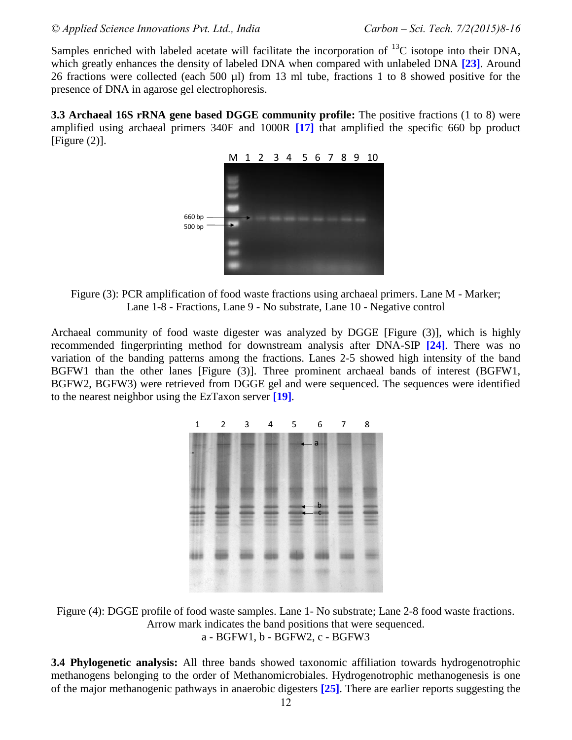Samples enriched with labeled acetate will facilitate the incorporation of  $^{13}$ C isotope into their DNA, which greatly enhances the density of labeled DNA when compared with unlabeled DNA **[23]**. Around 26 fractions were collected (each 500 µl) from 13 ml tube, fractions 1 to 8 showed positive for the presence of DNA in agarose gel electrophoresis.

**3.3 Archaeal 16S rRNA gene based DGGE community profile:** The positive fractions (1 to 8) were amplified using archaeal primers 340F and 1000R **[17]** that amplified the specific 660 bp product  $[Figure (2)].$ 



Figure (3): PCR amplification of food waste fractions using archaeal primers. Lane M - Marker; Lane 1-8 - Fractions, Lane 9 - No substrate, Lane 10 - Negative control

Archaeal community of food waste digester was analyzed by DGGE [Figure (3)], which is highly recommended fingerprinting method for downstream analysis after DNA-SIP **[24]**. There was no variation of the banding patterns among the fractions. Lanes 2-5 showed high intensity of the band BGFW1 than the other lanes [Figure (3)]. Three prominent archaeal bands of interest (BGFW1, BGFW2, BGFW3) were retrieved from DGGE gel and were sequenced. The sequences were identified to the nearest neighbor using the EzTaxon server **[19]**.



Figure (4): DGGE profile of food waste samples. Lane 1- No substrate; Lane 2-8 food waste fractions. Arrow mark indicates the band positions that were sequenced. a - BGFW1, b - BGFW2, c - BGFW3

**3.4 Phylogenetic analysis:** All three bands showed taxonomic affiliation towards hydrogenotrophic methanogens belonging to the order of Methanomicrobiales. Hydrogenotrophic methanogenesis is one of the major methanogenic pathways in anaerobic digesters **[25]**. There are earlier reports suggesting the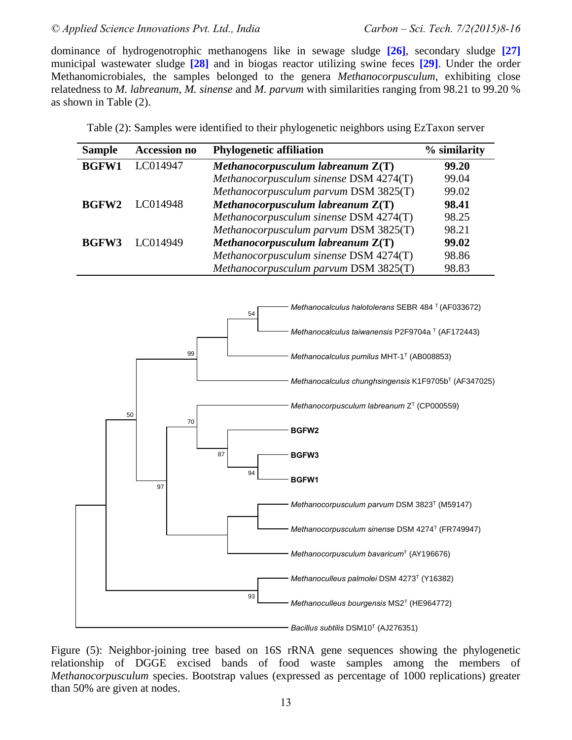#### *© Applied Science Innovations Pvt. Ltd., India Carbon – Sci. Tech. 7/2(2015)8-16*

dominance of hydrogenotrophic methanogens like in sewage sludge **[26]**, secondary sludge **[27]** municipal wastewater sludge **[28]** and in biogas reactor utilizing swine feces **[29]**. Under the order Methanomicrobiales, the samples belonged to the genera *Methanocorpusculum,* exhibiting close relatedness to *M. labreanum*, *M. sinense* and *M. parvum* with similarities ranging from 98.21 to 99.20 % as shown in Table (2).

| <b>Sample</b> | <b>Accession no</b> | <b>Phylogenetic affiliation</b>        | % similarity |
|---------------|---------------------|----------------------------------------|--------------|
| <b>BGFW1</b>  | LC014947            | Methanocorpusculum labreanum $Z(T)$    | 99.20        |
|               |                     | Methanocorpusculum sinense DSM 4274(T) | 99.04        |
|               |                     | Methanocorpusculum parvum DSM 3825(T)  | 99.02        |
| <b>BGFW2</b>  | LC014948            | Methanocorpusculum labreanum $Z(T)$    | 98.41        |
|               |                     | Methanocorpusculum sinense DSM 4274(T) | 98.25        |
|               |                     | Methanocorpusculum parvum DSM 3825(T)  | 98.21        |
| <b>BGFW3</b>  | LC014949            | Methanocorpusculum labreanum $Z(T)$    | 99.02        |
|               |                     | Methanocorpusculum sinense DSM 4274(T) | 98.86        |
|               |                     | Methanocorpusculum parvum DSM 3825(T)  | 98.83        |

Table (2): Samples were identified to their phylogenetic neighbors using EzTaxon server



Figure (5): Neighbor-joining tree based on 16S rRNA gene sequences showing the phylogenetic relationship of DGGE excised bands of food waste samples among the members of *Methanocorpusculum* species. Bootstrap values (expressed as percentage of 1000 replications) greater than 50% are given at nodes.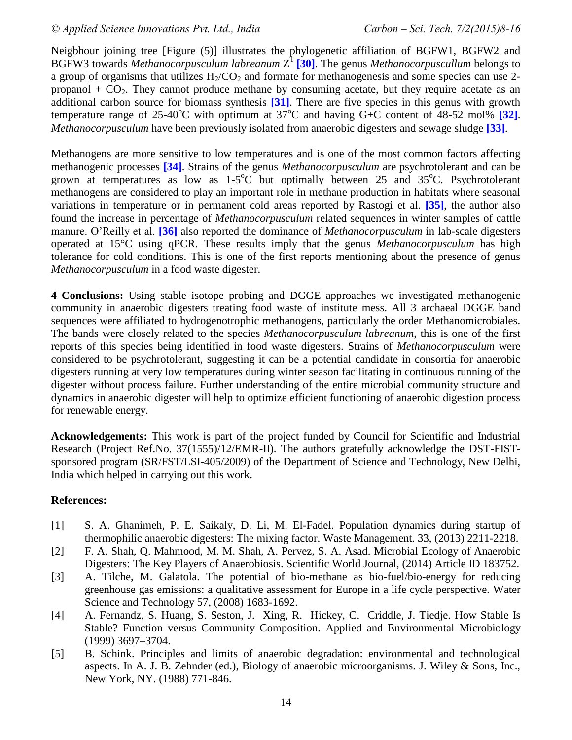Neigbhour joining tree [Figure (5)] illustrates the phylogenetic affiliation of BGFW1, BGFW2 and BGFW3 towards *Methanocorpusculum labreanum*  $Z^{T}$  [30]. The genus *Methanocorpuscullum* belongs to a group of organisms that utilizes  $H_2/CO_2$  and formate for methanogenesis and some species can use 2propanol  $+$  CO<sub>2</sub>. They cannot produce methane by consuming acetate, but they require acetate as an additional carbon source for biomass synthesis **[31]**. There are five species in this genus with growth temperature range of  $25{\cdot}40^{\circ}$ C with optimum at  $37^{\circ}$ C and having G+C content of  $48{\cdot}52$  mol%  $[32]$ . *Methanocorpusculum* have been previously isolated from anaerobic digesters and sewage sludge **[33]**.

Methanogens are more sensitive to low temperatures and is one of the most common factors affecting methanogenic processes **[34]**. Strains of the genus *Methanocorpusculum* are psychrotolerant and can be grown at temperatures as low as  $1-5^{\circ}$ C but optimally between 25 and 35 $^{\circ}$ C. Psychrotolerant methanogens are considered to play an important role in methane production in habitats where seasonal variations in temperature or in permanent cold areas reported by Rastogi et al. **[35]**, the author also found the increase in percentage of *Methanocorpusculum* related sequences in winter samples of cattle manure. O'Reilly et al. **[36]** also reported the dominance of *Methanocorpusculum* in lab-scale digesters operated at 15°C using qPCR. These results imply that the genus *Methanocorpusculum* has high tolerance for cold conditions. This is one of the first reports mentioning about the presence of genus *Methanocorpusculum* in a food waste digester.

**4 Conclusions:** Using stable isotope probing and DGGE approaches we investigated methanogenic community in anaerobic digesters treating food waste of institute mess. All 3 archaeal DGGE band sequences were affiliated to hydrogenotrophic methanogens, particularly the order Methanomicrobiales. The bands were closely related to the species *Methanocorpusculum labreanum*, this is one of the first reports of this species being identified in food waste digesters. Strains of *Methanocorpusculum* were considered to be psychrotolerant, suggesting it can be a potential candidate in consortia for anaerobic digesters running at very low temperatures during winter season facilitating in continuous running of the digester without process failure. Further understanding of the entire microbial community structure and dynamics in anaerobic digester will help to optimize efficient functioning of anaerobic digestion process for renewable energy.

**Acknowledgements:** This work is part of the project funded by Council for Scientific and Industrial Research (Project Ref.No. 37(1555)/12/EMR-II). The authors gratefully acknowledge the DST-FISTsponsored program (SR/FST/LSI-405/2009) of the Department of Science and Technology, New Delhi, India which helped in carrying out this work.

### **References:**

- [1] S. A. Ghanimeh, P. E. Saikaly, D. Li, M. El-Fadel. Population dynamics during startup of thermophilic anaerobic digesters: The mixing factor. Waste Management*.* 33, (2013) 2211-2218.
- [2] F. A. Shah, Q. Mahmood, M. M. Shah, A. Pervez, S. A. Asad. Microbial Ecology of Anaerobic Digesters: The Key Players of Anaerobiosis. Scientific World Journal, (2014) Article ID 183752.
- [3] A. Tilche, M. Galatola. The potential of bio-methane as bio-fuel/bio-energy for reducing greenhouse gas emissions: a qualitative assessment for Europe in a life cycle perspective. Water Science and Technology 57, (2008) 1683-1692.
- [4] A. Fernandz, S. Huang, S. Seston, J. Xing, R. Hickey, C. Criddle, J. Tiedje. How Stable Is Stable? Function versus Community Composition. Applied and Environmental Microbiology (1999) 3697–3704.
- [5] B. Schink. Principles and limits of anaerobic degradation: environmental and technological aspects. In A. J. B. Zehnder (ed.), Biology of anaerobic microorganisms. J. Wiley & Sons, Inc., New York, NY. (1988) 771-846.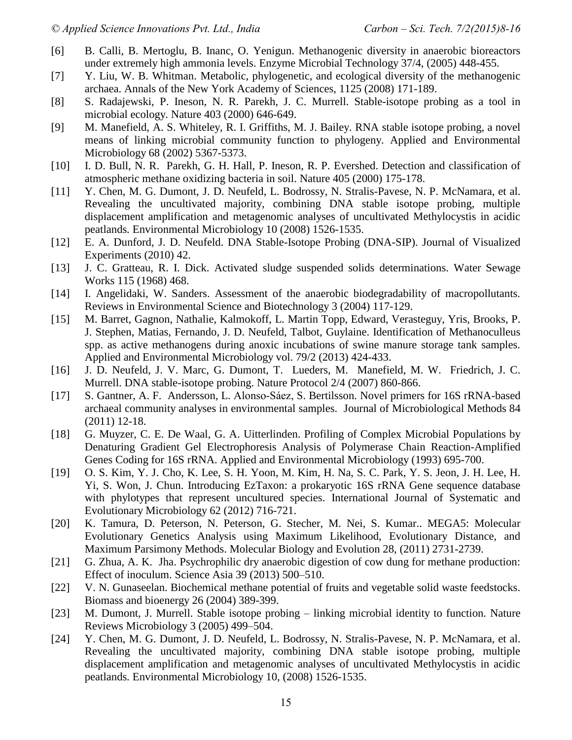- [6] B. Calli, B. Mertoglu, B. Inanc, O. Yenigun. Methanogenic diversity in anaerobic bioreactors under extremely high ammonia levels. Enzyme Microbial Technology 37/4, (2005) 448-455.
- [7] Y. Liu, W. B. Whitman. Metabolic, phylogenetic, and ecological diversity of the methanogenic archaea. Annals of the New York Academy of Sciences, 1125 (2008) 171-189.
- [8] S. Radajewski, P. Ineson, N. R. Parekh, J. C. Murrell. Stable-isotope probing as a tool in microbial ecology. Nature 403 (2000) 646-649.
- [9] M. Manefield, A. S. Whiteley, R. I. Griffiths, M. J. Bailey. RNA stable isotope probing, a novel means of linking microbial community function to phylogeny. Applied and Environmental Microbiology 68 (2002) 5367-5373.
- [10] I. D. Bull, N. R. Parekh, G. H. Hall, P. Ineson, R. P. Evershed. Detection and classification of atmospheric methane oxidizing bacteria in soil. Nature 405 (2000) 175-178.
- [11] Y. Chen, M. G. Dumont, J. D. Neufeld, L. Bodrossy, N. Stralis-Pavese, N. P. McNamara, et al. Revealing the uncultivated majority, combining DNA stable isotope probing, multiple displacement amplification and metagenomic analyses of uncultivated Methylocystis in acidic peatlands*.* Environmental Microbiology 10 (2008) 1526-1535.
- [12] E. A. Dunford, J. D. Neufeld. DNA Stable-Isotope Probing (DNA-SIP). Journal of Visualized Experiments (2010) 42.
- [13] J. C. Gratteau, R. I. Dick. Activated sludge suspended solids determinations. Water Sewage Works 115 (1968) 468.
- [14] I. Angelidaki, W. Sanders. Assessment of the anaerobic biodegradability of macropollutants. Reviews in Environmental Science and Biotechnology 3 (2004) 117-129.
- [15] M. Barret, Gagnon, Nathalie, Kalmokoff, L. Martin Topp, Edward, Verasteguy, Yris, Brooks, P. J. Stephen, Matias, Fernando, J. D. Neufeld, Talbot, Guylaine. Identification of Methanoculleus spp. as active methanogens during anoxic incubations of swine manure storage tank samples. Applied and Environmental Microbiology vol. 79/2 (2013) 424-433.
- [16] J. D. Neufeld, J. V. Marc, G. Dumont, T. Lueders, M. Manefield, M. W. Friedrich, J. C. Murrell. DNA stable-isotope probing. Nature Protocol 2/4 (2007) 860-866.
- [17] S. Gantner, A. F. Andersson, L. Alonso-Sáez, S. Bertilsson. Novel primers for 16S rRNA-based archaeal community analyses in environmental samples. Journal of Microbiological Methods 84 (2011) 12-18.
- [18] G. Muyzer, C. E. De Waal, G. A. Uitterlinden. Profiling of Complex Microbial Populations by Denaturing Gradient Gel Electrophoresis Analysis of Polymerase Chain Reaction-Amplified Genes Coding for 16S rRNA. Applied and Environmental Microbiology (1993) 695-700.
- [19] O. S. Kim, Y. J. Cho, K. Lee, S. H. Yoon, M. Kim, H. Na, S. C. Park, Y. S. Jeon, J. H. Lee, H. Yi, S. Won, J. Chun. Introducing EzTaxon: a prokaryotic 16S rRNA Gene sequence database with phylotypes that represent uncultured species. International Journal of Systematic and Evolutionary Microbiology 62 (2012) 716-721.
- [20] K. Tamura, D. Peterson, N. Peterson, G. Stecher, M. Nei, S. Kumar.. MEGA5: Molecular Evolutionary Genetics Analysis using Maximum Likelihood, Evolutionary Distance, and Maximum Parsimony Methods. Molecular Biology and Evolution 28, (2011) 2731-2739.
- [21] G. Zhua, A. K. Jha. Psychrophilic dry anaerobic digestion of cow dung for methane production: Effect of inoculum. Science Asia 39 (2013) 500–510.
- [22] V. N. Gunaseelan. Biochemical methane potential of fruits and vegetable solid waste feedstocks. Biomass and bioenergy 26 (2004) 389-399.
- [23] M. Dumont, J. Murrell. Stable isotope probing linking microbial identity to function. Nature Reviews Microbiology 3 (2005) 499–504.
- [24] Y. Chen, M. G. Dumont, J. D. Neufeld, L. Bodrossy, N. Stralis-Pavese, N. P. McNamara, et al. Revealing the uncultivated majority, combining DNA stable isotope probing, multiple displacement amplification and metagenomic analyses of uncultivated Methylocystis in acidic peatlands*.* Environmental Microbiology 10, (2008) 1526-1535.